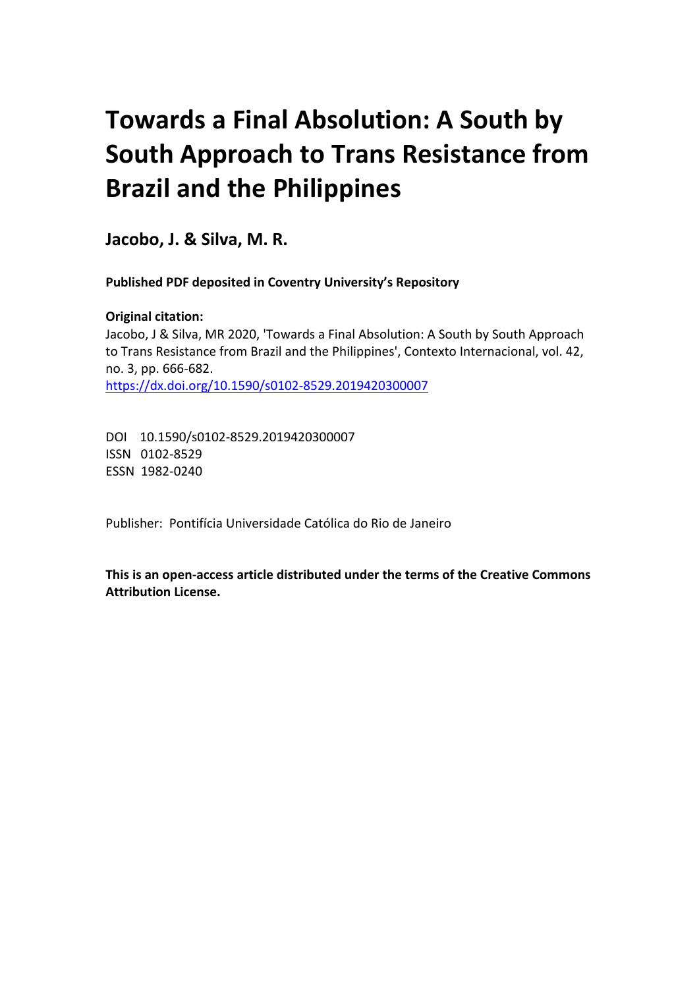# **Towards a Final Absolution: A South by South Approach to Trans Resistance from Brazil and the Philippines**

**Jacobo, J. & Silva, M. R.**

**Published PDF deposited in Coventry University's Repository** 

**Original citation:**  Jacobo, J & Silva, MR 2020, 'Towards a Final Absolution: A South by South Approach to Trans Resistance from Brazil and the Philippines', Contexto Internacional, vol. 42, no. 3, pp. 666-682. https://dx.doi.org/10.1590/s0102-8529.2019420300007

DOI 10.1590/s0102-8529.2019420300007 ISSN 0102-8529 ESSN 1982-0240

Publisher: Pontifícia Universidade Católica do Rio de Janeiro

**This is an open-access article distributed under the terms of the Creative Commons Attribution License.**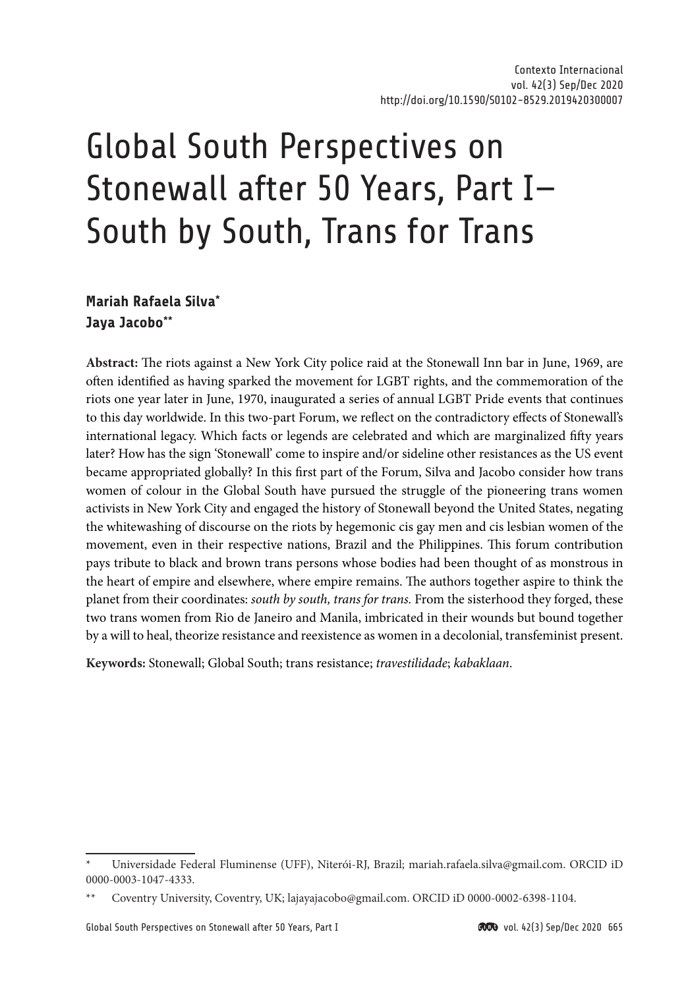# Global South Perspectives on Stonewall after 50 Years, Part I— South by South, Trans for Trans

# **Mariah Rafaela Silva\* Jaya Jacobo\*\***

**Abstract:** The riots against a New York City police raid at the Stonewall Inn bar in June, 1969, are often identified as having sparked the movement for LGBT rights, and the commemoration of the riots one year later in June, 1970, inaugurated a series of annual LGBT Pride events that continues to this day worldwide. In this two-part Forum, we reflect on the contradictory effects of Stonewall's international legacy. Which facts or legends are celebrated and which are marginalized fifty years later? How has the sign 'Stonewall' come to inspire and/or sideline other resistances as the US event became appropriated globally? In this first part of the Forum, Silva and Jacobo consider how trans women of colour in the Global South have pursued the struggle of the pioneering trans women activists in New York City and engaged the history of Stonewall beyond the United States, negating the whitewashing of discourse on the riots by hegemonic cis gay men and cis lesbian women of the movement, even in their respective nations, Brazil and the Philippines. This forum contribution pays tribute to black and brown trans persons whose bodies had been thought of as monstrous in the heart of empire and elsewhere, where empire remains. The authors together aspire to think the planet from their coordinates: *south by south, trans for trans.* From the sisterhood they forged, these two trans women from Rio de Janeiro and Manila, imbricated in their wounds but bound together by a will to heal, theorize resistance and reexistence as women in a decolonial, transfeminist present.

**Keywords:** Stonewall; Global South; trans resistance; *travestilidade*; *kabaklaan*.

<sup>\*</sup> Universidade Federal Fluminense (UFF), Niterói-RJ, Brazil; [mariah.rafaela.silva@gmail.com](mailto:mariah.rafaela.silva@gmail.com). ORCID iD 0000-0003-1047-4333.

<sup>\*\*</sup> Coventry University, Coventry, UK; [lajayajacobo@gmail.com](mailto:lajayajacobo@gmail.com). ORCID iD 0000-0002-6398-1104.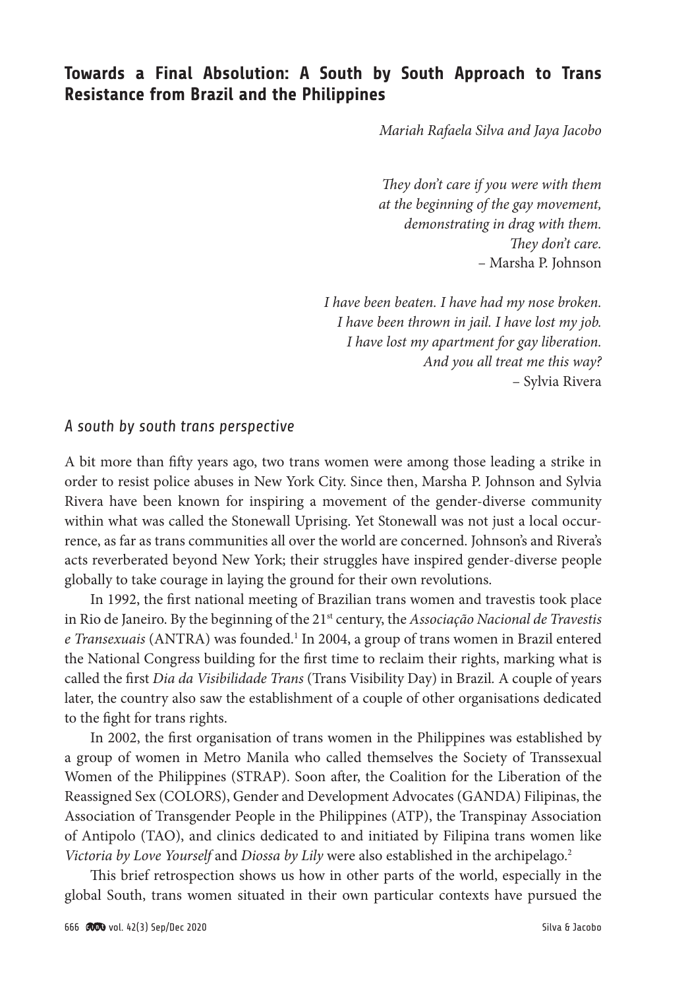# **Towards a Final Absolution: A South by South Approach to Trans Resistance from Brazil and the Philippines**

*Mariah Rafaela Silva and Jaya Jacobo*

*They don't care if you were with them at the beginning of the gay movement, demonstrating in drag with them. They don't care.* – Marsha P. Johnson

*I have been beaten. I have had my nose broken. I have been thrown in jail. I have lost my job. I have lost my apartment for gay liberation. And you all treat me this way?* – Sylvia Rivera

### *A south by south trans perspective*

A bit more than fifty years ago, two trans women were among those leading a strike in order to resist police abuses in New York City. Since then, Marsha P. Johnson and Sylvia Rivera have been known for inspiring a movement of the gender-diverse community within what was called the Stonewall Uprising. Yet Stonewall was not just a local occurrence, as far as trans communities all over the world are concerned. Johnson's and Rivera's acts reverberated beyond New York; their struggles have inspired gender-diverse people globally to take courage in laying the ground for their own revolutions.

In 1992, the first national meeting of Brazilian trans women and travestis took place in Rio de Janeiro. By the beginning of the 21st century, the *Associação Nacional de Travestis*  e Transexuais (ANTRA) was founded.<sup>1</sup> In 2004, a group of trans women in Brazil entered the National Congress building for the first time to reclaim their rights, marking what is called the first *Dia da Visibilidade Trans* (Trans Visibility Day) in Brazil*.* A couple of years later, the country also saw the establishment of a couple of other organisations dedicated to the fight for trans rights.

In 2002, the first organisation of trans women in the Philippines was established by a group of women in Metro Manila who called themselves the Society of Transsexual Women of the Philippines (STRAP). Soon after, the Coalition for the Liberation of the Reassigned Sex (COLORS), Gender and Development Advocates (GANDA) Filipinas, the Association of Transgender People in the Philippines (ATP), the Transpinay Association of Antipolo (TAO), and clinics dedicated to and initiated by Filipina trans women like *Victoria by Love Yourself* and *Diossa by Lily* were also established in the archipelago.<sup>2</sup>

This brief retrospection shows us how in other parts of the world, especially in the global South, trans women situated in their own particular contexts have pursued the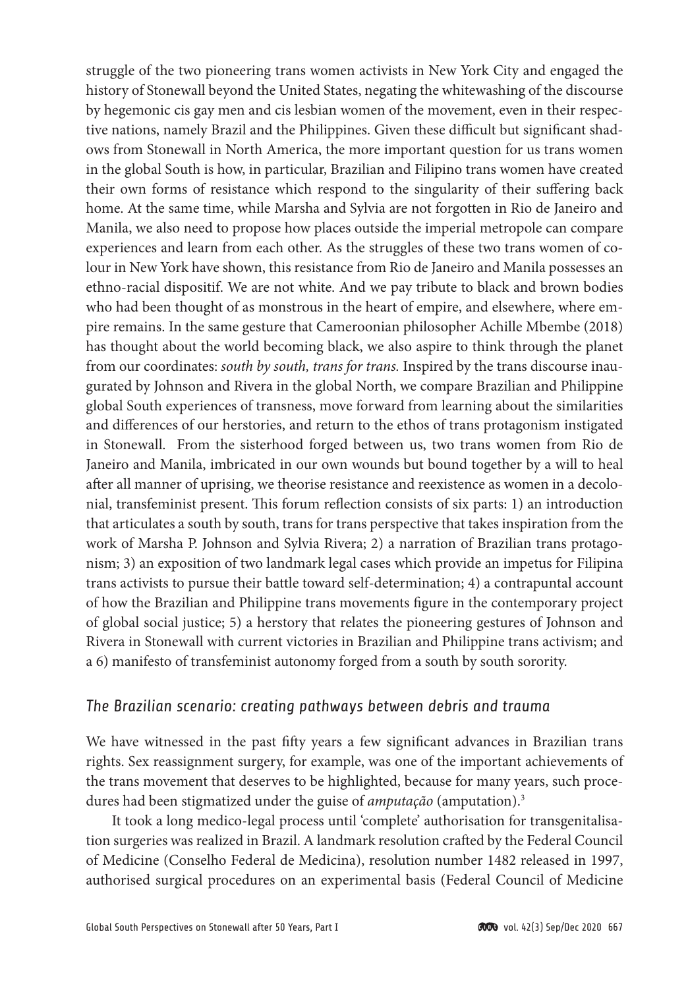struggle of the two pioneering trans women activists in New York City and engaged the history of Stonewall beyond the United States, negating the whitewashing of the discourse by hegemonic cis gay men and cis lesbian women of the movement, even in their respective nations, namely Brazil and the Philippines. Given these difficult but significant shadows from Stonewall in North America, the more important question for us trans women in the global South is how, in particular, Brazilian and Filipino trans women have created their own forms of resistance which respond to the singularity of their suffering back home. At the same time, while Marsha and Sylvia are not forgotten in Rio de Janeiro and Manila, we also need to propose how places outside the imperial metropole can compare experiences and learn from each other. As the struggles of these two trans women of colour in New York have shown, this resistance from Rio de Janeiro and Manila possesses an ethno-racial dispositif. We are not white. And we pay tribute to black and brown bodies who had been thought of as monstrous in the heart of empire, and elsewhere, where empire remains. In the same gesture that Cameroonian philosopher Achille Mbembe (2018) has thought about the world becoming black, we also aspire to think through the planet from our coordinates: *south by south, trans for trans.* Inspired by the trans discourse inaugurated by Johnson and Rivera in the global North, we compare Brazilian and Philippine global South experiences of transness, move forward from learning about the similarities and differences of our herstories, and return to the ethos of trans protagonism instigated in Stonewall. From the sisterhood forged between us, two trans women from Rio de Janeiro and Manila, imbricated in our own wounds but bound together by a will to heal after all manner of uprising, we theorise resistance and reexistence as women in a decolonial, transfeminist present. This forum reflection consists of six parts: 1) an introduction that articulates a south by south, trans for trans perspective that takes inspiration from the work of Marsha P. Johnson and Sylvia Rivera; 2) a narration of Brazilian trans protagonism; 3) an exposition of two landmark legal cases which provide an impetus for Filipina trans activists to pursue their battle toward self-determination; 4) a contrapuntal account of how the Brazilian and Philippine trans movements figure in the contemporary project of global social justice; 5) a herstory that relates the pioneering gestures of Johnson and Rivera in Stonewall with current victories in Brazilian and Philippine trans activism; and a 6) manifesto of transfeminist autonomy forged from a south by south sorority.

## *The Brazilian scenario: creating pathways between debris and trauma*

We have witnessed in the past fifty years a few significant advances in Brazilian trans rights. Sex reassignment surgery, for example, was one of the important achievements of the trans movement that deserves to be highlighted, because for many years, such procedures had been stigmatized under the guise of *amputação* (amputation).3

It took a long medico-legal process until 'complete' authorisation for transgenitalisation surgeries was realized in Brazil. A landmark resolution crafted by the Federal Council of Medicine (Conselho Federal de Medicina), resolution number 1482 released in 1997, authorised surgical procedures on an experimental basis (Federal Council of Medicine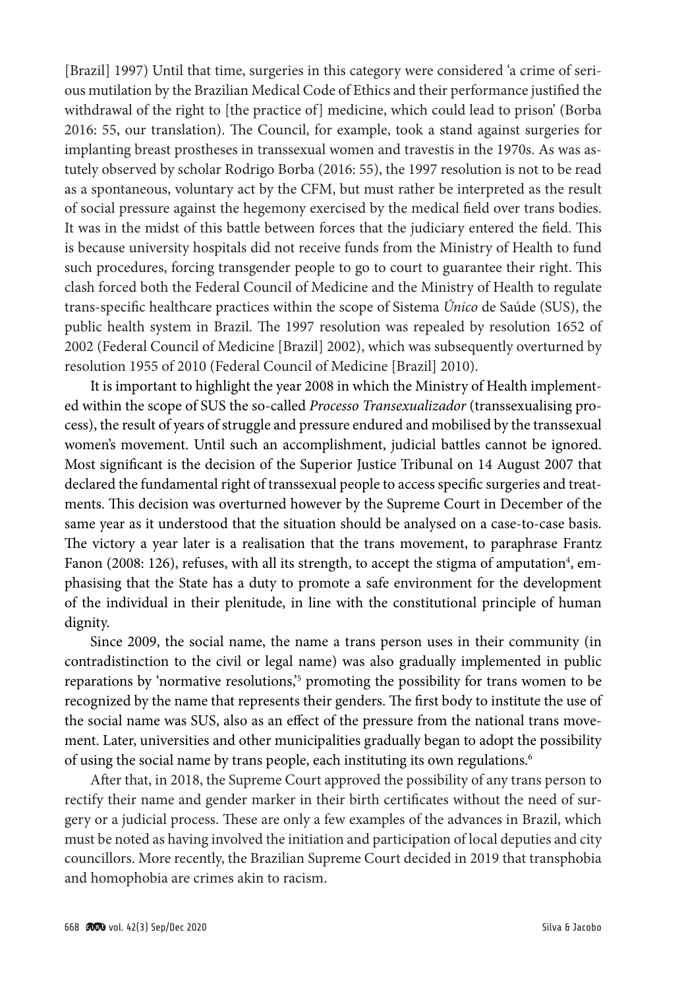[Brazil] 1997) Until that time, surgeries in this category were considered 'a crime of serious mutilation by the Brazilian Medical Code of Ethics and their performance justified the withdrawal of the right to [the practice of] medicine, which could lead to prison' (Borba 2016: 55, our translation). The Council, for example, took a stand against surgeries for implanting breast prostheses in transsexual women and travestis in the 1970s. As was astutely observed by scholar Rodrigo Borba (2016: 55), the 1997 resolution is not to be read as a spontaneous, voluntary act by the CFM, but must rather be interpreted as the result of social pressure against the hegemony exercised by the medical field over trans bodies. It was in the midst of this battle between forces that the judiciary entered the field. This is because university hospitals did not receive funds from the Ministry of Health to fund such procedures, forcing transgender people to go to court to guarantee their right. This clash forced both the Federal Council of Medicine and the Ministry of Health to regulate trans-specific healthcare practices within the scope of Sistema *Único* de Saúde (SUS), the public health system in Brazil. The 1997 resolution was repealed by resolution 1652 of 2002 (Federal Council of Medicine [Brazil] 2002), which was subsequently overturned by resolution 1955 of 2010 (Federal Council of Medicine [Brazil] 2010).

It is important to highlight the year 2008 in which the Ministry of Health implemented within the scope of SUS the so-called *Processo Transexualizador* (transsexualising process), the result of years of struggle and pressure endured and mobilised by the transsexual women's movement. Until such an accomplishment, judicial battles cannot be ignored. Most significant is the decision of the Superior Justice Tribunal on 14 August 2007 that declared the fundamental right of transsexual people to access specific surgeries and treatments. This decision was overturned however by the Supreme Court in December of the same year as it understood that the situation should be analysed on a case-to-case basis. The victory a year later is a realisation that the trans movement, to paraphrase Frantz Fanon (2008: 126), refuses, with all its strength, to accept the stigma of amputation<sup>4</sup>, emphasising that the State has a duty to promote a safe environment for the development of the individual in their plenitude, in line with the constitutional principle of human dignity.

Since 2009, the social name, the name a trans person uses in their community (in contradistinction to the civil or legal name) was also gradually implemented in public reparations by 'normative resolutions,<sup>35</sup> promoting the possibility for trans women to be recognized by the name that represents their genders. The first body to institute the use of the social name was SUS, also as an effect of the pressure from the national trans movement. Later, universities and other municipalities gradually began to adopt the possibility of using the social name by trans people, each instituting its own regulations.6

After that, in 2018, the Supreme Court approved the possibility of any trans person to rectify their name and gender marker in their birth certificates without the need of surgery or a judicial process. These are only a few examples of the advances in Brazil, which must be noted as having involved the initiation and participation of local deputies and city councillors. More recently, the Brazilian Supreme Court decided in 2019 that transphobia and homophobia are crimes akin to racism.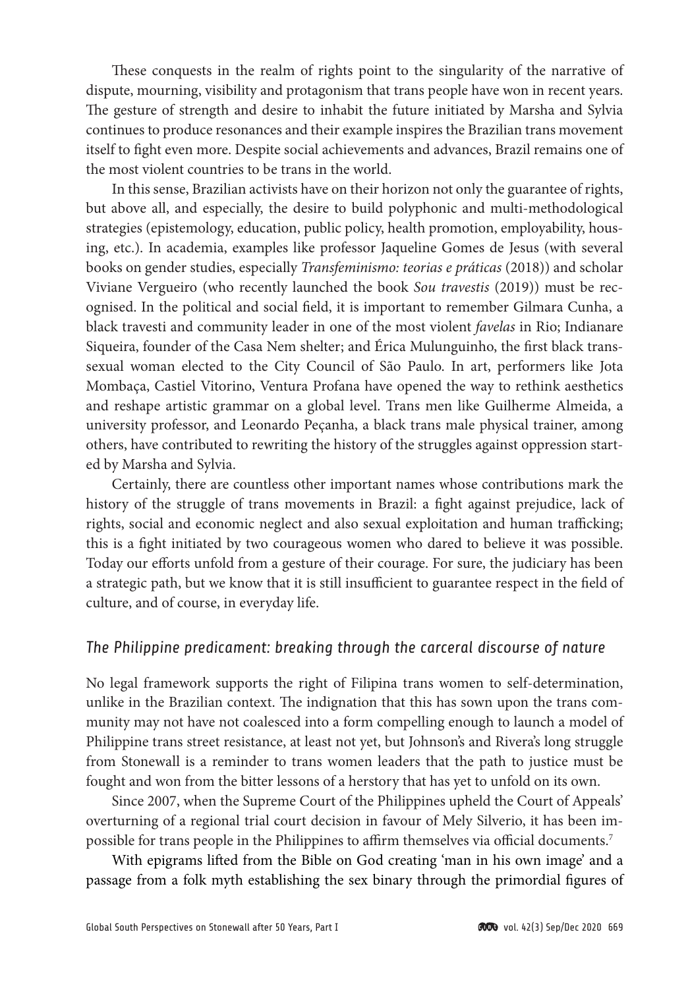These conquests in the realm of rights point to the singularity of the narrative of dispute, mourning, visibility and protagonism that trans people have won in recent years. The gesture of strength and desire to inhabit the future initiated by Marsha and Sylvia continues to produce resonances and their example inspires the Brazilian trans movement itself to fight even more. Despite social achievements and advances, Brazil remains one of the most violent countries to be trans in the world.

In this sense, Brazilian activists have on their horizon not only the guarantee of rights, but above all, and especially, the desire to build polyphonic and multi-methodological strategies (epistemology, education, public policy, health promotion, employability, housing, etc.). In academia, examples like professor Jaqueline Gomes de Jesus (with several books on gender studies, especially *Transfeminismo: teorias e práticas* (2018)) and scholar Viviane Vergueiro (who recently launched the book *Sou travestis* (2019)) must be recognised. In the political and social field, it is important to remember Gilmara Cunha, a black travesti and community leader in one of the most violent *favelas* in Rio; Indianare Siqueira, founder of the Casa Nem shelter; and Érica Mulunguinho, the first black transsexual woman elected to the City Council of São Paulo. In art, performers like Jota Mombaça, Castiel Vitorino, Ventura Profana have opened the way to rethink aesthetics and reshape artistic grammar on a global level. Trans men like Guilherme Almeida, a university professor, and Leonardo Peçanha, a black trans male physical trainer, among others, have contributed to rewriting the history of the struggles against oppression started by Marsha and Sylvia.

Certainly, there are countless other important names whose contributions mark the history of the struggle of trans movements in Brazil: a fight against prejudice, lack of rights, social and economic neglect and also sexual exploitation and human trafficking; this is a fight initiated by two courageous women who dared to believe it was possible. Today our efforts unfold from a gesture of their courage. For sure, the judiciary has been a strategic path, but we know that it is still insufficient to guarantee respect in the field of culture, and of course, in everyday life.

### *The Philippine predicament: breaking through the carceral discourse of nature*

No legal framework supports the right of Filipina trans women to self-determination, unlike in the Brazilian context. The indignation that this has sown upon the trans community may not have not coalesced into a form compelling enough to launch a model of Philippine trans street resistance, at least not yet, but Johnson's and Rivera's long struggle from Stonewall is a reminder to trans women leaders that the path to justice must be fought and won from the bitter lessons of a herstory that has yet to unfold on its own.

Since 2007, when the Supreme Court of the Philippines upheld the Court of Appeals' overturning of a regional trial court decision in favour of Mely Silverio, it has been impossible for trans people in the Philippines to affirm themselves via official documents.7

With epigrams lifted from the Bible on God creating 'man in his own image' and a passage from a folk myth establishing the sex binary through the primordial figures of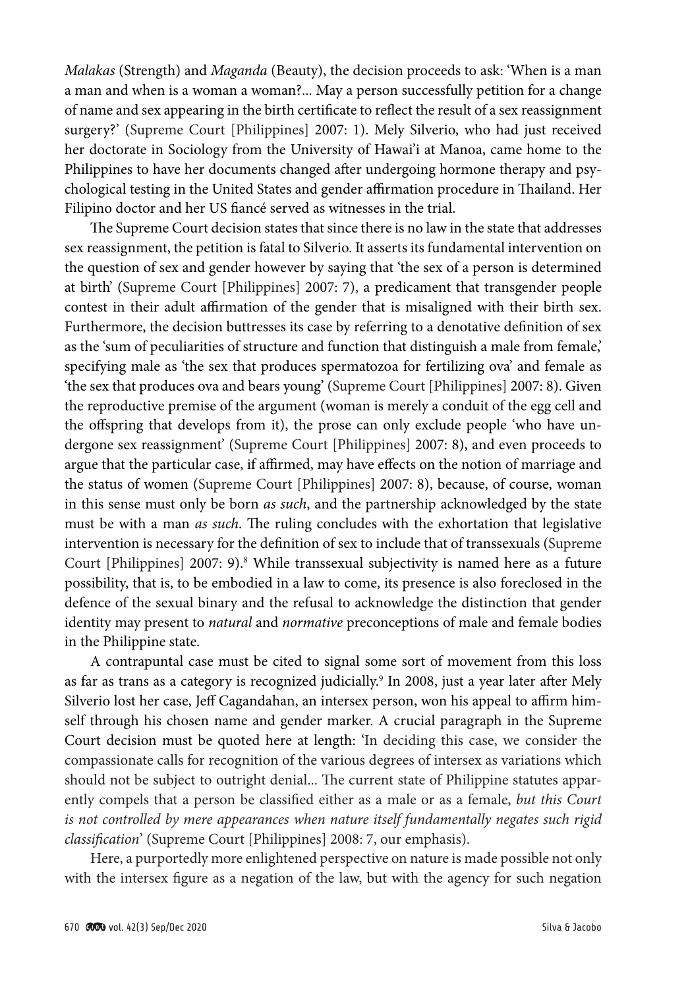*Malakas* (Strength) and *Maganda* (Beauty), the decision proceeds to ask: 'When is a man a man and when is a woman a woman?... May a person successfully petition for a change of name and sex appearing in the birth certificate to reflect the result of a sex reassignment surgery?' (Supreme Court [Philippines] 2007: 1). Mely Silverio, who had just received her doctorate in Sociology from the University of Hawai'i at Manoa, came home to the Philippines to have her documents changed after undergoing hormone therapy and psychological testing in the United States and gender affirmation procedure in Thailand. Her Filipino doctor and her US fiancé served as witnesses in the trial.

The Supreme Court decision states that since there is no law in the state that addresses sex reassignment, the petition is fatal to Silverio. It asserts its fundamental intervention on the question of sex and gender however by saying that 'the sex of a person is determined at birth' (Supreme Court [Philippines] 2007: 7), a predicament that transgender people contest in their adult affirmation of the gender that is misaligned with their birth sex. Furthermore, the decision buttresses its case by referring to a denotative definition of sex as the 'sum of peculiarities of structure and function that distinguish a male from female,' specifying male as 'the sex that produces spermatozoa for fertilizing ova' and female as 'the sex that produces ova and bears young' (Supreme Court [Philippines] 2007: 8). Given the reproductive premise of the argument (woman is merely a conduit of the egg cell and the offspring that develops from it), the prose can only exclude people 'who have undergone sex reassignment' (Supreme Court [Philippines] 2007: 8), and even proceeds to argue that the particular case, if affirmed, may have effects on the notion of marriage and the status of women (Supreme Court [Philippines] 2007: 8), because, of course, woman in this sense must only be born *as such*, and the partnership acknowledged by the state must be with a man *as such*. The ruling concludes with the exhortation that legislative intervention is necessary for the definition of sex to include that of transsexuals (Supreme Court [Philippines] 2007: 9).<sup>8</sup> While transsexual subjectivity is named here as a future possibility, that is, to be embodied in a law to come, its presence is also foreclosed in the defence of the sexual binary and the refusal to acknowledge the distinction that gender identity may present to *natural* and *normative* preconceptions of male and female bodies in the Philippine state.

A contrapuntal case must be cited to signal some sort of movement from this loss as far as trans as a category is recognized judicially.<sup>9</sup> In 2008, just a year later after Mely Silverio lost her case, Jeff Cagandahan, an intersex person, won his appeal to affirm himself through his chosen name and gender marker. A crucial paragraph in the Supreme Court decision must be quoted here at length: 'In deciding this case, we consider the compassionate calls for recognition of the various degrees of intersex as variations which should not be subject to outright denial... The current state of Philippine statutes apparently compels that a person be classified either as a male or as a female, *but this Court is not controlled by mere appearances when nature itself fundamentally negates such rigid classification*' (Supreme Court [Philippines] 2008: 7, our emphasis).

Here, a purportedly more enlightened perspective on nature is made possible not only with the intersex figure as a negation of the law, but with the agency for such negation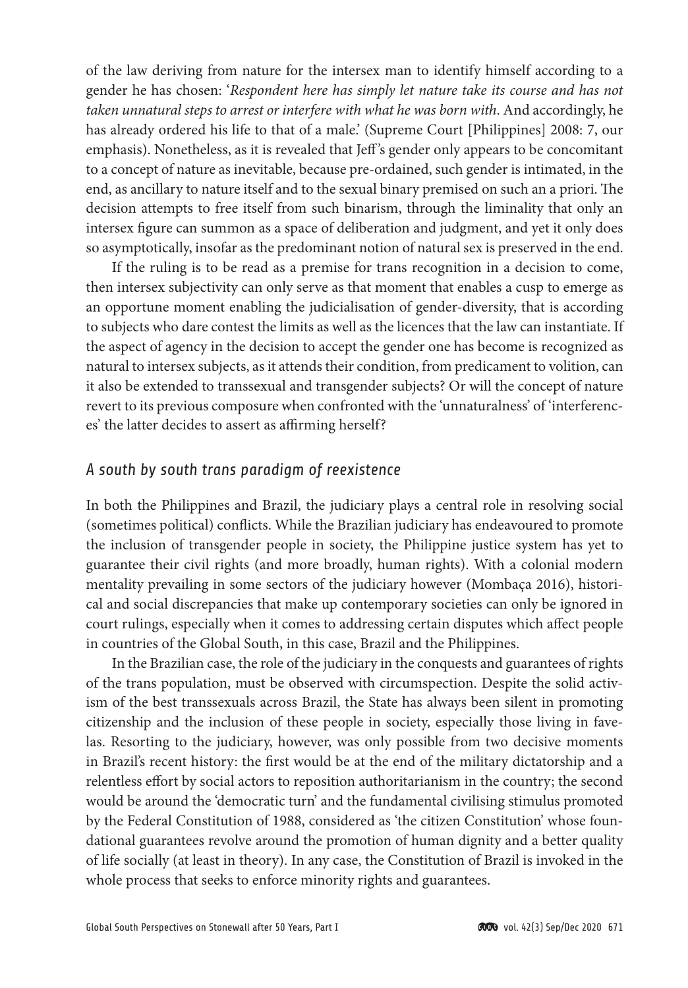of the law deriving from nature for the intersex man to identify himself according to a gender he has chosen: '*Respondent here has simply let nature take its course and has not taken unnatural steps to arrest or interfere with what he was born with*. And accordingly, he has already ordered his life to that of a male.' (Supreme Court [Philippines] 2008: 7, our emphasis). Nonetheless, as it is revealed that Jeff 's gender only appears to be concomitant to a concept of nature as inevitable, because pre-ordained, such gender is intimated, in the end, as ancillary to nature itself and to the sexual binary premised on such an a priori. The decision attempts to free itself from such binarism, through the liminality that only an intersex figure can summon as a space of deliberation and judgment, and yet it only does so asymptotically, insofar as the predominant notion of natural sex is preserved in the end.

If the ruling is to be read as a premise for trans recognition in a decision to come, then intersex subjectivity can only serve as that moment that enables a cusp to emerge as an opportune moment enabling the judicialisation of gender-diversity, that is according to subjects who dare contest the limits as well as the licences that the law can instantiate. If the aspect of agency in the decision to accept the gender one has become is recognized as natural to intersex subjects, as it attends their condition, from predicament to volition, can it also be extended to transsexual and transgender subjects? Or will the concept of nature revert to its previous composure when confronted with the 'unnaturalness' of 'interferences' the latter decides to assert as affirming herself?

## *A south by south trans paradigm of reexistence*

In both the Philippines and Brazil, the judiciary plays a central role in resolving social (sometimes political) conflicts. While the Brazilian judiciary has endeavoured to promote the inclusion of transgender people in society, the Philippine justice system has yet to guarantee their civil rights (and more broadly, human rights). With a colonial modern mentality prevailing in some sectors of the judiciary however (Mombaça 2016), historical and social discrepancies that make up contemporary societies can only be ignored in court rulings, especially when it comes to addressing certain disputes which affect people in countries of the Global South, in this case, Brazil and the Philippines.

In the Brazilian case, the role of the judiciary in the conquests and guarantees of rights of the trans population, must be observed with circumspection. Despite the solid activism of the best transsexuals across Brazil, the State has always been silent in promoting citizenship and the inclusion of these people in society, especially those living in favelas. Resorting to the judiciary, however, was only possible from two decisive moments in Brazil's recent history: the first would be at the end of the military dictatorship and a relentless effort by social actors to reposition authoritarianism in the country; the second would be around the 'democratic turn' and the fundamental civilising stimulus promoted by the Federal Constitution of 1988, considered as 'the citizen Constitution' whose foundational guarantees revolve around the promotion of human dignity and a better quality of life socially (at least in theory). In any case, the Constitution of Brazil is invoked in the whole process that seeks to enforce minority rights and guarantees.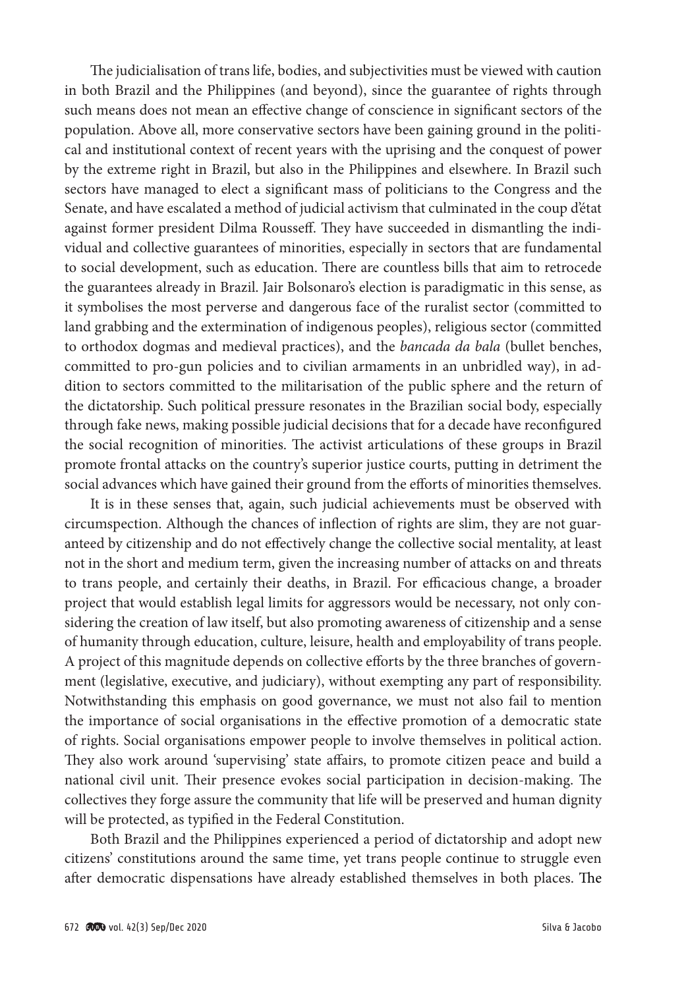The judicialisation of trans life, bodies, and subjectivities must be viewed with caution in both Brazil and the Philippines (and beyond), since the guarantee of rights through such means does not mean an effective change of conscience in significant sectors of the population. Above all, more conservative sectors have been gaining ground in the political and institutional context of recent years with the uprising and the conquest of power by the extreme right in Brazil, but also in the Philippines and elsewhere. In Brazil such sectors have managed to elect a significant mass of politicians to the Congress and the Senate, and have escalated a method of judicial activism that culminated in the coup d'état against former president Dilma Rousseff. They have succeeded in dismantling the individual and collective guarantees of minorities, especially in sectors that are fundamental to social development, such as education. There are countless bills that aim to retrocede the guarantees already in Brazil. Jair Bolsonaro's election is paradigmatic in this sense, as it symbolises the most perverse and dangerous face of the ruralist sector (committed to land grabbing and the extermination of indigenous peoples), religious sector (committed to orthodox dogmas and medieval practices), and the *bancada da bala* (bullet benches, committed to pro-gun policies and to civilian armaments in an unbridled way), in addition to sectors committed to the militarisation of the public sphere and the return of the dictatorship. Such political pressure resonates in the Brazilian social body, especially through fake news, making possible judicial decisions that for a decade have reconfigured the social recognition of minorities. The activist articulations of these groups in Brazil promote frontal attacks on the country's superior justice courts, putting in detriment the social advances which have gained their ground from the efforts of minorities themselves.

It is in these senses that, again, such judicial achievements must be observed with circumspection. Although the chances of inflection of rights are slim, they are not guaranteed by citizenship and do not effectively change the collective social mentality, at least not in the short and medium term, given the increasing number of attacks on and threats to trans people, and certainly their deaths, in Brazil. For efficacious change, a broader project that would establish legal limits for aggressors would be necessary, not only considering the creation of law itself, but also promoting awareness of citizenship and a sense of humanity through education, culture, leisure, health and employability of trans people. A project of this magnitude depends on collective efforts by the three branches of government (legislative, executive, and judiciary), without exempting any part of responsibility. Notwithstanding this emphasis on good governance, we must not also fail to mention the importance of social organisations in the effective promotion of a democratic state of rights. Social organisations empower people to involve themselves in political action. They also work around 'supervising' state affairs, to promote citizen peace and build a national civil unit. Their presence evokes social participation in decision-making. The collectives they forge assure the community that life will be preserved and human dignity will be protected, as typified in the Federal Constitution.

Both Brazil and the Philippines experienced a period of dictatorship and adopt new citizens' constitutions around the same time, yet trans people continue to struggle even after democratic dispensations have already established themselves in both places. The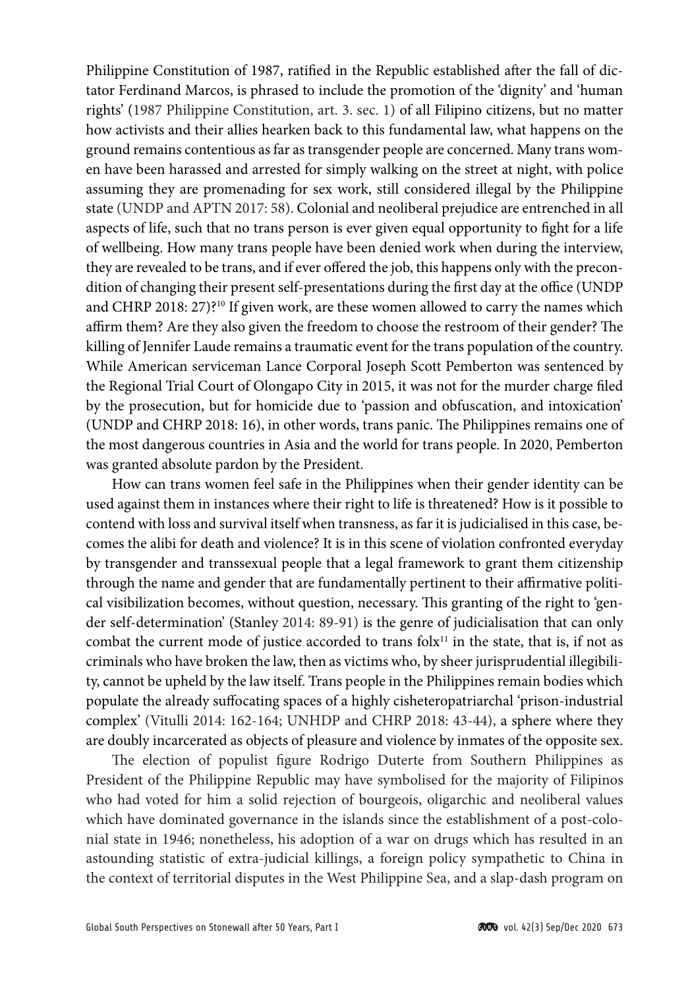Philippine Constitution of 1987, ratified in the Republic established after the fall of dictator Ferdinand Marcos, is phrased to include the promotion of the 'dignity' and 'human rights' (1987 Philippine Constitution, art. 3. sec. 1) of all Filipino citizens, but no matter how activists and their allies hearken back to this fundamental law, what happens on the ground remains contentious as far as transgender people are concerned. Many trans women have been harassed and arrested for simply walking on the street at night, with police assuming they are promenading for sex work, still considered illegal by the Philippine state (UNDP and APTN 2017: 58). Colonial and neoliberal prejudice are entrenched in all aspects of life, such that no trans person is ever given equal opportunity to fight for a life of wellbeing. How many trans people have been denied work when during the interview, they are revealed to be trans, and if ever offered the job, this happens only with the precondition of changing their present self-presentations during the first day at the office (UNDP and CHRP 2018: 27)?10 If given work, are these women allowed to carry the names which affirm them? Are they also given the freedom to choose the restroom of their gender? The killing of Jennifer Laude remains a traumatic event for the trans population of the country. While American serviceman Lance Corporal Joseph Scott Pemberton was sentenced by the Regional Trial Court of Olongapo City in 2015, it was not for the murder charge filed by the prosecution, but for homicide due to 'passion and obfuscation, and intoxication' (UNDP and CHRP 2018: 16), in other words, trans panic. The Philippines remains one of the most dangerous countries in Asia and the world for trans people. In 2020, Pemberton was granted absolute pardon by the President.

How can trans women feel safe in the Philippines when their gender identity can be used against them in instances where their right to life is threatened? How is it possible to contend with loss and survival itself when transness, as far it is judicialised in this case, becomes the alibi for death and violence? It is in this scene of violation confronted everyday by transgender and transsexual people that a legal framework to grant them citizenship through the name and gender that are fundamentally pertinent to their affirmative political visibilization becomes, without question, necessary. This granting of the right to 'gender self-determination' (Stanley 2014: 89-91) is the genre of judicialisation that can only combat the current mode of justice accorded to trans  $f$ ol $x<sup>11</sup>$  in the state, that is, if not as criminals who have broken the law, then as victims who, by sheer jurisprudential illegibility, cannot be upheld by the law itself. Trans people in the Philippines remain bodies which populate the already suffocating spaces of a highly cisheteropatriarchal 'prison-industrial complex' (Vitulli 2014: 162-164; UNHDP and CHRP 2018: 43-44), a sphere where they are doubly incarcerated as objects of pleasure and violence by inmates of the opposite sex.

The election of populist figure Rodrigo Duterte from Southern Philippines as President of the Philippine Republic may have symbolised for the majority of Filipinos who had voted for him a solid rejection of bourgeois, oligarchic and neoliberal values which have dominated governance in the islands since the establishment of a post-colonial state in 1946; nonetheless, his adoption of a war on drugs which has resulted in an astounding statistic of extra-judicial killings, a foreign policy sympathetic to China in the context of territorial disputes in the West Philippine Sea, and a slap-dash program on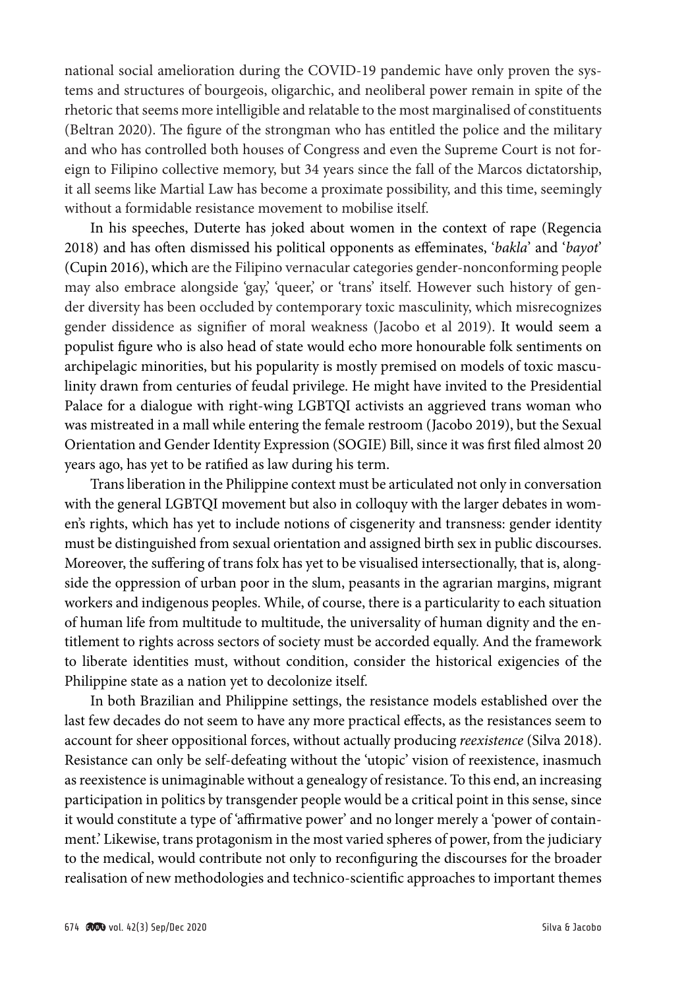national social amelioration during the COVID-19 pandemic have only proven the systems and structures of bourgeois, oligarchic, and neoliberal power remain in spite of the rhetoric that seems more intelligible and relatable to the most marginalised of constituents (Beltran 2020). The figure of the strongman who has entitled the police and the military and who has controlled both houses of Congress and even the Supreme Court is not foreign to Filipino collective memory, but 34 years since the fall of the Marcos dictatorship, it all seems like Martial Law has become a proximate possibility, and this time, seemingly without a formidable resistance movement to mobilise itself.

In his speeches, Duterte has joked about women in the context of rape (Regencia 2018) and has often dismissed his political opponents as effeminates, '*bakla*' and '*bayot*' (Cupin 2016), which are the Filipino vernacular categories gender-nonconforming people may also embrace alongside 'gay,' 'queer,' or 'trans' itself. However such history of gender diversity has been occluded by contemporary toxic masculinity, which misrecognizes gender dissidence as signifier of moral weakness (Jacobo et al 2019). It would seem a populist figure who is also head of state would echo more honourable folk sentiments on archipelagic minorities, but his popularity is mostly premised on models of toxic masculinity drawn from centuries of feudal privilege. He might have invited to the Presidential Palace for a dialogue with right-wing LGBTQI activists an aggrieved trans woman who was mistreated in a mall while entering the female restroom (Jacobo 2019), but the Sexual Orientation and Gender Identity Expression (SOGIE) Bill, since it was first filed almost 20 years ago, has yet to be ratified as law during his term.

Trans liberation in the Philippine context must be articulated not only in conversation with the general LGBTQI movement but also in colloquy with the larger debates in women's rights, which has yet to include notions of cisgenerity and transness: gender identity must be distinguished from sexual orientation and assigned birth sex in public discourses. Moreover, the suffering of trans folx has yet to be visualised intersectionally, that is, alongside the oppression of urban poor in the slum, peasants in the agrarian margins, migrant workers and indigenous peoples. While, of course, there is a particularity to each situation of human life from multitude to multitude, the universality of human dignity and the entitlement to rights across sectors of society must be accorded equally. And the framework to liberate identities must, without condition, consider the historical exigencies of the Philippine state as a nation yet to decolonize itself.

In both Brazilian and Philippine settings, the resistance models established over the last few decades do not seem to have any more practical effects, as the resistances seem to account for sheer oppositional forces, without actually producing *reexistence* (Silva 2018). Resistance can only be self-defeating without the 'utopic' vision of reexistence, inasmuch as reexistence is unimaginable without a genealogy of resistance. To this end, an increasing participation in politics by transgender people would be a critical point in this sense, since it would constitute a type of 'affirmative power' and no longer merely a 'power of containment.' Likewise, trans protagonism in the most varied spheres of power, from the judiciary to the medical, would contribute not only to reconfiguring the discourses for the broader realisation of new methodologies and technico-scientific approaches to important themes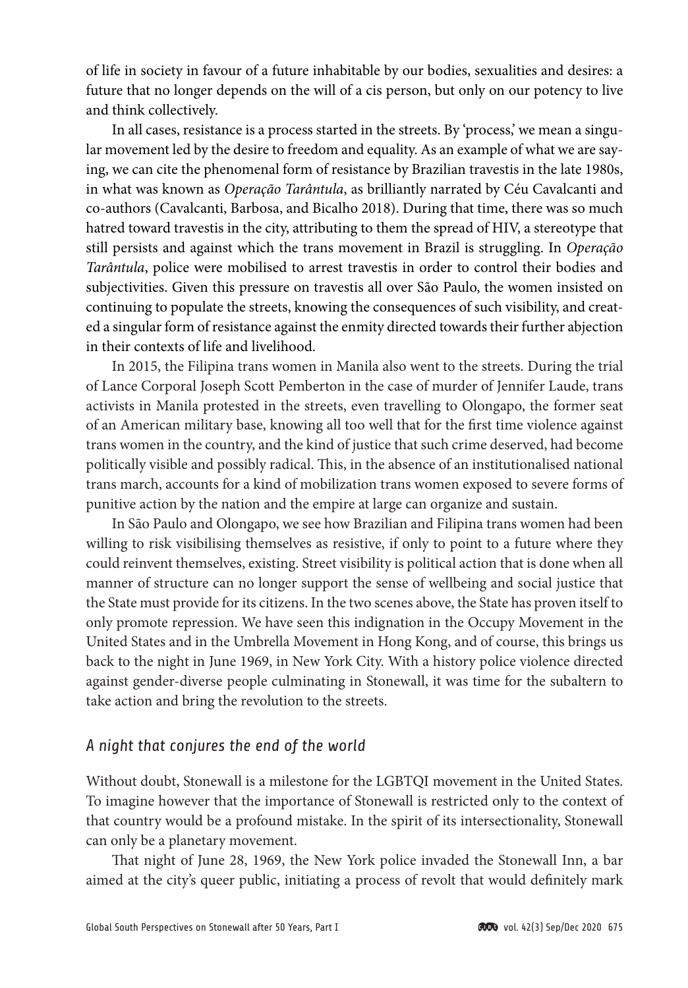of life in society in favour of a future inhabitable by our bodies, sexualities and desires: a future that no longer depends on the will of a cis person, but only on our potency to live and think collectively.

In all cases, resistance is a process started in the streets. By 'process,' we mean a singular movement led by the desire to freedom and equality. As an example of what we are saying, we can cite the phenomenal form of resistance by Brazilian travestis in the late 1980s, in what was known as *Operação Tarântula*, as brilliantly narrated by Céu Cavalcanti and co-authors (Cavalcanti, Barbosa, and Bicalho 2018). During that time, there was so much hatred toward travestis in the city, attributing to them the spread of HIV, a stereotype that still persists and against which the trans movement in Brazil is struggling. In *Operação Tarântula*, police were mobilised to arrest travestis in order to control their bodies and subjectivities. Given this pressure on travestis all over São Paulo, the women insisted on continuing to populate the streets, knowing the consequences of such visibility, and created a singular form of resistance against the enmity directed towards their further abjection in their contexts of life and livelihood.

In 2015, the Filipina trans women in Manila also went to the streets. During the trial of Lance Corporal Joseph Scott Pemberton in the case of murder of Jennifer Laude, trans activists in Manila protested in the streets, even travelling to Olongapo, the former seat of an American military base, knowing all too well that for the first time violence against trans women in the country, and the kind of justice that such crime deserved, had become politically visible and possibly radical. This, in the absence of an institutionalised national trans march, accounts for a kind of mobilization trans women exposed to severe forms of punitive action by the nation and the empire at large can organize and sustain.

In São Paulo and Olongapo, we see how Brazilian and Filipina trans women had been willing to risk visibilising themselves as resistive, if only to point to a future where they could reinvent themselves, existing. Street visibility is political action that is done when all manner of structure can no longer support the sense of wellbeing and social justice that the State must provide for its citizens. In the two scenes above, the State has proven itself to only promote repression. We have seen this indignation in the Occupy Movement in the United States and in the Umbrella Movement in Hong Kong, and of course, this brings us back to the night in June 1969, in New York City. With a history police violence directed against gender-diverse people culminating in Stonewall, it was time for the subaltern to take action and bring the revolution to the streets.

## *A night that conjures the end of the world*

Without doubt, Stonewall is a milestone for the LGBTQI movement in the United States. To imagine however that the importance of Stonewall is restricted only to the context of that country would be a profound mistake. In the spirit of its intersectionality, Stonewall can only be a planetary movement.

That night of June 28, 1969, the New York police invaded the Stonewall Inn, a bar aimed at the city's queer public, initiating a process of revolt that would definitely mark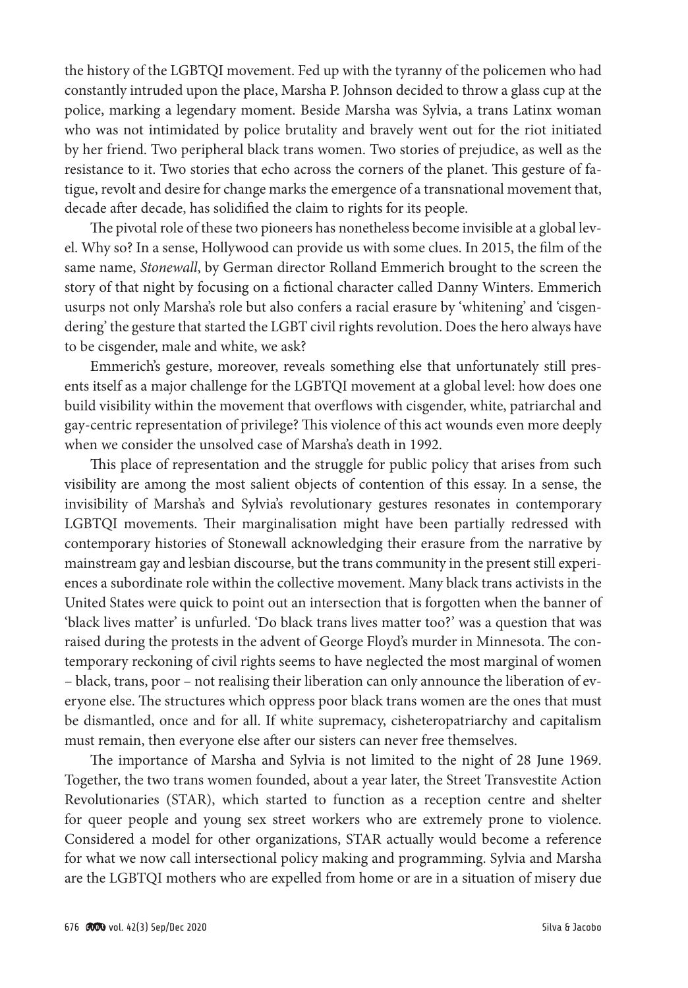the history of the LGBTQI movement. Fed up with the tyranny of the policemen who had constantly intruded upon the place, Marsha P. Johnson decided to throw a glass cup at the police, marking a legendary moment. Beside Marsha was Sylvia, a trans Latinx woman who was not intimidated by police brutality and bravely went out for the riot initiated by her friend. Two peripheral black trans women. Two stories of prejudice, as well as the resistance to it. Two stories that echo across the corners of the planet. This gesture of fatigue, revolt and desire for change marks the emergence of a transnational movement that, decade after decade, has solidified the claim to rights for its people.

The pivotal role of these two pioneers has nonetheless become invisible at a global level. Why so? In a sense, Hollywood can provide us with some clues. In 2015, the film of the same name, *Stonewall*, by German director Rolland Emmerich brought to the screen the story of that night by focusing on a fictional character called Danny Winters. Emmerich usurps not only Marsha's role but also confers a racial erasure by 'whitening' and 'cisgendering' the gesture that started the LGBT civil rights revolution. Does the hero always have to be cisgender, male and white, we ask?

Emmerich's gesture, moreover, reveals something else that unfortunately still presents itself as a major challenge for the LGBTQI movement at a global level: how does one build visibility within the movement that overflows with cisgender, white, patriarchal and gay-centric representation of privilege? This violence of this act wounds even more deeply when we consider the unsolved case of Marsha's death in 1992.

This place of representation and the struggle for public policy that arises from such visibility are among the most salient objects of contention of this essay. In a sense, the invisibility of Marsha's and Sylvia's revolutionary gestures resonates in contemporary LGBTQI movements. Their marginalisation might have been partially redressed with contemporary histories of Stonewall acknowledging their erasure from the narrative by mainstream gay and lesbian discourse, but the trans community in the present still experiences a subordinate role within the collective movement. Many black trans activists in the United States were quick to point out an intersection that is forgotten when the banner of 'black lives matter' is unfurled. 'Do black trans lives matter too?' was a question that was raised during the protests in the advent of George Floyd's murder in Minnesota. The contemporary reckoning of civil rights seems to have neglected the most marginal of women – black, trans, poor – not realising their liberation can only announce the liberation of everyone else. The structures which oppress poor black trans women are the ones that must be dismantled, once and for all. If white supremacy, cisheteropatriarchy and capitalism must remain, then everyone else after our sisters can never free themselves.

The importance of Marsha and Sylvia is not limited to the night of 28 June 1969. Together, the two trans women founded, about a year later, the Street Transvestite Action Revolutionaries (STAR), which started to function as a reception centre and shelter for queer people and young sex street workers who are extremely prone to violence. Considered a model for other organizations, STAR actually would become a reference for what we now call intersectional policy making and programming. Sylvia and Marsha are the LGBTQI mothers who are expelled from home or are in a situation of misery due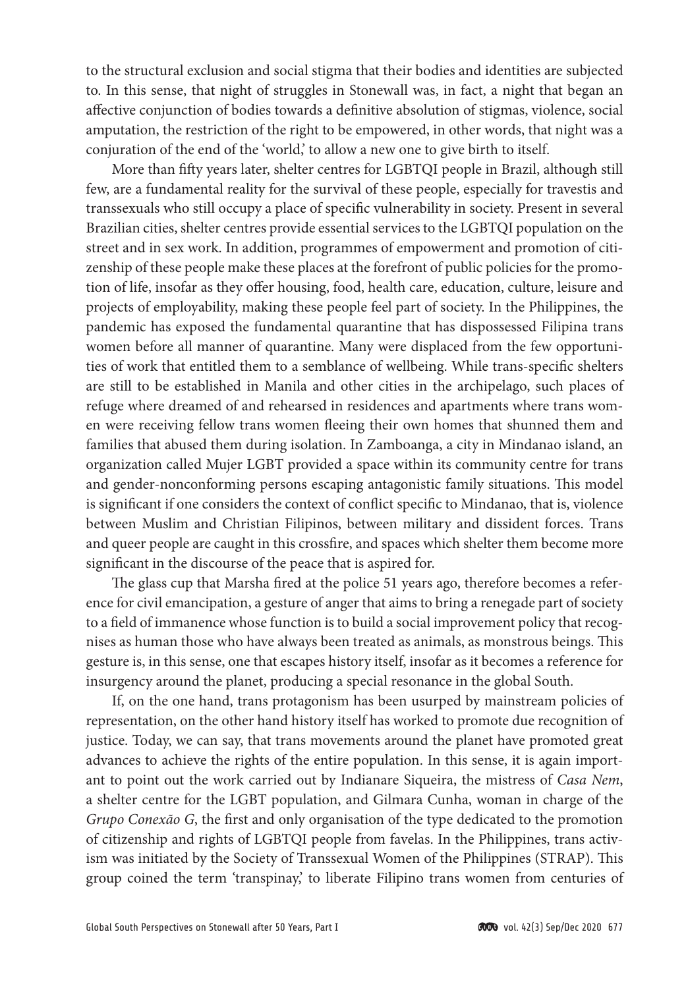to the structural exclusion and social stigma that their bodies and identities are subjected to. In this sense, that night of struggles in Stonewall was, in fact, a night that began an affective conjunction of bodies towards a definitive absolution of stigmas, violence, social amputation, the restriction of the right to be empowered, in other words, that night was a conjuration of the end of the 'world,' to allow a new one to give birth to itself.

More than fifty years later, shelter centres for LGBTQI people in Brazil, although still few, are a fundamental reality for the survival of these people, especially for travestis and transsexuals who still occupy a place of specific vulnerability in society. Present in several Brazilian cities, shelter centres provide essential services to the LGBTQI population on the street and in sex work. In addition, programmes of empowerment and promotion of citizenship of these people make these places at the forefront of public policies for the promotion of life, insofar as they offer housing, food, health care, education, culture, leisure and projects of employability, making these people feel part of society. In the Philippines, the pandemic has exposed the fundamental quarantine that has dispossessed Filipina trans women before all manner of quarantine. Many were displaced from the few opportunities of work that entitled them to a semblance of wellbeing. While trans-specific shelters are still to be established in Manila and other cities in the archipelago, such places of refuge where dreamed of and rehearsed in residences and apartments where trans women were receiving fellow trans women fleeing their own homes that shunned them and families that abused them during isolation. In Zamboanga, a city in Mindanao island, an organization called Mujer LGBT provided a space within its community centre for trans and gender-nonconforming persons escaping antagonistic family situations. This model is significant if one considers the context of conflict specific to Mindanao, that is, violence between Muslim and Christian Filipinos, between military and dissident forces. Trans and queer people are caught in this crossfire, and spaces which shelter them become more significant in the discourse of the peace that is aspired for.

The glass cup that Marsha fired at the police 51 years ago, therefore becomes a reference for civil emancipation, a gesture of anger that aims to bring a renegade part of society to a field of immanence whose function is to build a social improvement policy that recognises as human those who have always been treated as animals, as monstrous beings. This gesture is, in this sense, one that escapes history itself, insofar as it becomes a reference for insurgency around the planet, producing a special resonance in the global South.

If, on the one hand, trans protagonism has been usurped by mainstream policies of representation, on the other hand history itself has worked to promote due recognition of justice. Today, we can say, that trans movements around the planet have promoted great advances to achieve the rights of the entire population. In this sense, it is again important to point out the work carried out by Indianare Siqueira, the mistress of *Casa Nem*, a shelter centre for the LGBT population, and Gilmara Cunha, woman in charge of the *Grupo Conexão G*, the first and only organisation of the type dedicated to the promotion of citizenship and rights of LGBTQI people from favelas. In the Philippines, trans activism was initiated by the Society of Transsexual Women of the Philippines (STRAP). This group coined the term 'transpinay,' to liberate Filipino trans women from centuries of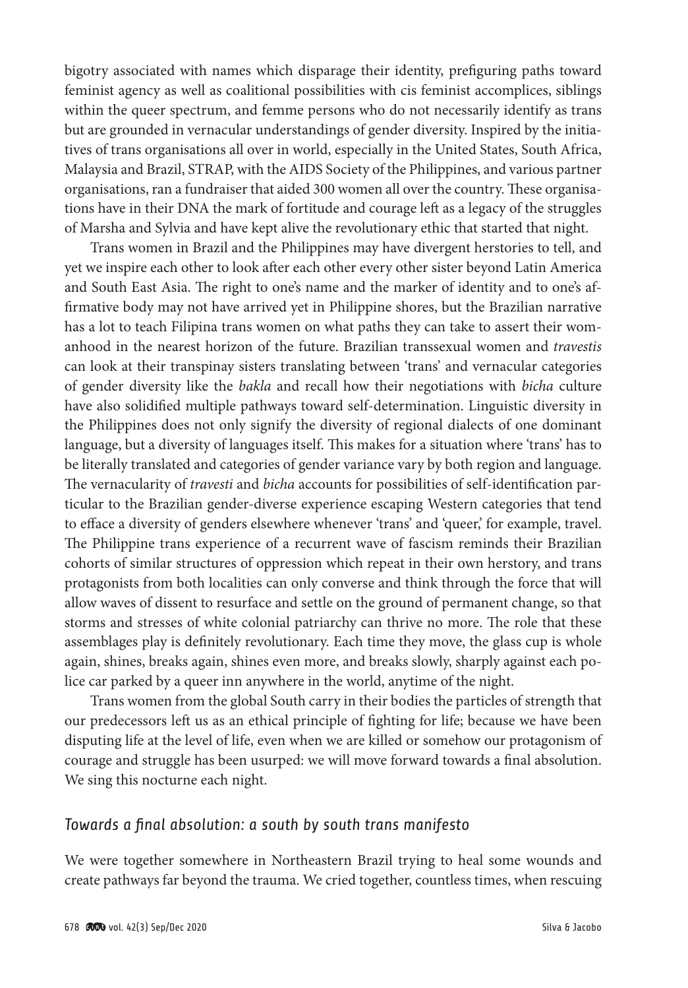bigotry associated with names which disparage their identity, prefiguring paths toward feminist agency as well as coalitional possibilities with cis feminist accomplices, siblings within the queer spectrum, and femme persons who do not necessarily identify as trans but are grounded in vernacular understandings of gender diversity. Inspired by the initiatives of trans organisations all over in world, especially in the United States, South Africa, Malaysia and Brazil, STRAP, with the AIDS Society of the Philippines, and various partner organisations, ran a fundraiser that aided 300 women all over the country. These organisations have in their DNA the mark of fortitude and courage left as a legacy of the struggles of Marsha and Sylvia and have kept alive the revolutionary ethic that started that night.

Trans women in Brazil and the Philippines may have divergent herstories to tell, and yet we inspire each other to look after each other every other sister beyond Latin America and South East Asia. The right to one's name and the marker of identity and to one's affirmative body may not have arrived yet in Philippine shores, but the Brazilian narrative has a lot to teach Filipina trans women on what paths they can take to assert their womanhood in the nearest horizon of the future. Brazilian transsexual women and *travestis* can look at their transpinay sisters translating between 'trans' and vernacular categories of gender diversity like the *bakla* and recall how their negotiations with *bicha* culture have also solidified multiple pathways toward self-determination. Linguistic diversity in the Philippines does not only signify the diversity of regional dialects of one dominant language, but a diversity of languages itself. This makes for a situation where 'trans' has to be literally translated and categories of gender variance vary by both region and language. The vernacularity of *travesti* and *bicha* accounts for possibilities of self-identification particular to the Brazilian gender-diverse experience escaping Western categories that tend to efface a diversity of genders elsewhere whenever 'trans' and 'queer,' for example, travel. The Philippine trans experience of a recurrent wave of fascism reminds their Brazilian cohorts of similar structures of oppression which repeat in their own herstory, and trans protagonists from both localities can only converse and think through the force that will allow waves of dissent to resurface and settle on the ground of permanent change, so that storms and stresses of white colonial patriarchy can thrive no more. The role that these assemblages play is definitely revolutionary. Each time they move, the glass cup is whole again, shines, breaks again, shines even more, and breaks slowly, sharply against each police car parked by a queer inn anywhere in the world, anytime of the night.

Trans women from the global South carry in their bodies the particles of strength that our predecessors left us as an ethical principle of fighting for life; because we have been disputing life at the level of life, even when we are killed or somehow our protagonism of courage and struggle has been usurped: we will move forward towards a final absolution. We sing this nocturne each night.

## *Towards a final absolution: a south by south trans manifesto*

We were together somewhere in Northeastern Brazil trying to heal some wounds and create pathways far beyond the trauma. We cried together, countless times, when rescuing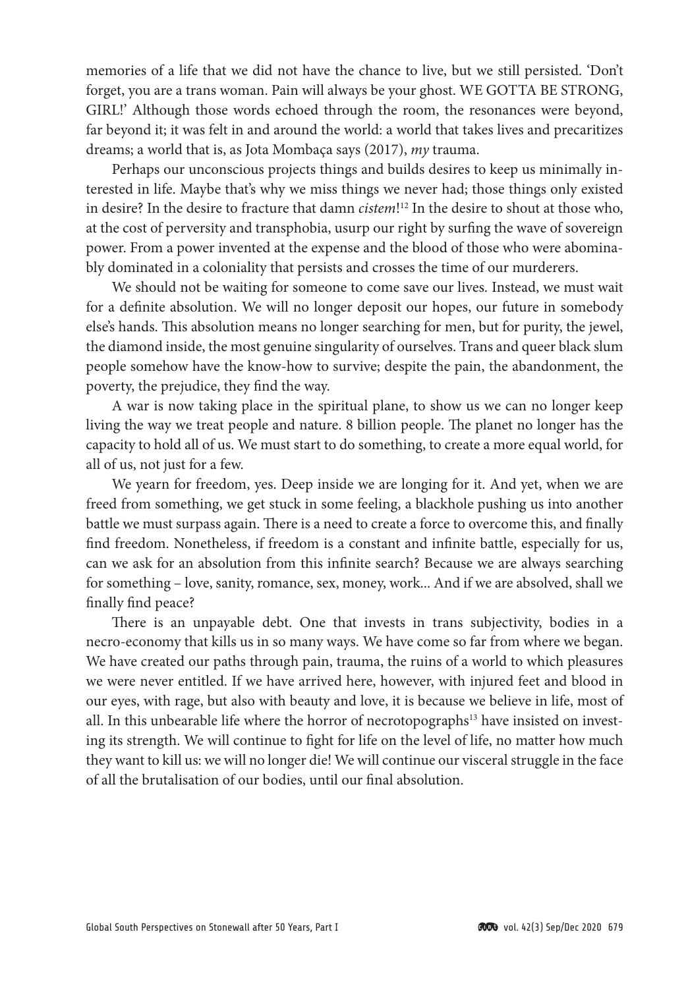memories of a life that we did not have the chance to live, but we still persisted. 'Don't forget, you are a trans woman. Pain will always be your ghost. WE GOTTA BE STRONG, GIRL!' Although those words echoed through the room, the resonances were beyond, far beyond it; it was felt in and around the world: a world that takes lives and precaritizes dreams; a world that is, as Jota Mombaça says (2017), *my* trauma.

Perhaps our unconscious projects things and builds desires to keep us minimally interested in life. Maybe that's why we miss things we never had; those things only existed in desire? In the desire to fracture that damn *cistem*! 12 In the desire to shout at those who, at the cost of perversity and transphobia, usurp our right by surfing the wave of sovereign power. From a power invented at the expense and the blood of those who were abominably dominated in a coloniality that persists and crosses the time of our murderers.

We should not be waiting for someone to come save our lives. Instead, we must wait for a definite absolution. We will no longer deposit our hopes, our future in somebody else's hands. This absolution means no longer searching for men, but for purity, the jewel, the diamond inside, the most genuine singularity of ourselves. Trans and queer black slum people somehow have the know-how to survive; despite the pain, the abandonment, the poverty, the prejudice, they find the way.

A war is now taking place in the spiritual plane, to show us we can no longer keep living the way we treat people and nature. 8 billion people. The planet no longer has the capacity to hold all of us. We must start to do something, to create a more equal world, for all of us, not just for a few.

We yearn for freedom, yes. Deep inside we are longing for it. And yet, when we are freed from something, we get stuck in some feeling, a blackhole pushing us into another battle we must surpass again. There is a need to create a force to overcome this, and finally find freedom. Nonetheless, if freedom is a constant and infinite battle, especially for us, can we ask for an absolution from this infinite search? Because we are always searching for something – love, sanity, romance, sex, money, work... And if we are absolved, shall we finally find peace?

There is an unpayable debt. One that invests in trans subjectivity, bodies in a necro-economy that kills us in so many ways. We have come so far from where we began. We have created our paths through pain, trauma, the ruins of a world to which pleasures we were never entitled. If we have arrived here, however, with injured feet and blood in our eyes, with rage, but also with beauty and love, it is because we believe in life, most of all. In this unbearable life where the horror of necrotopographs<sup>13</sup> have insisted on investing its strength. We will continue to fight for life on the level of life, no matter how much they want to kill us: we will no longer die! We will continue our visceral struggle in the face of all the brutalisation of our bodies, until our final absolution.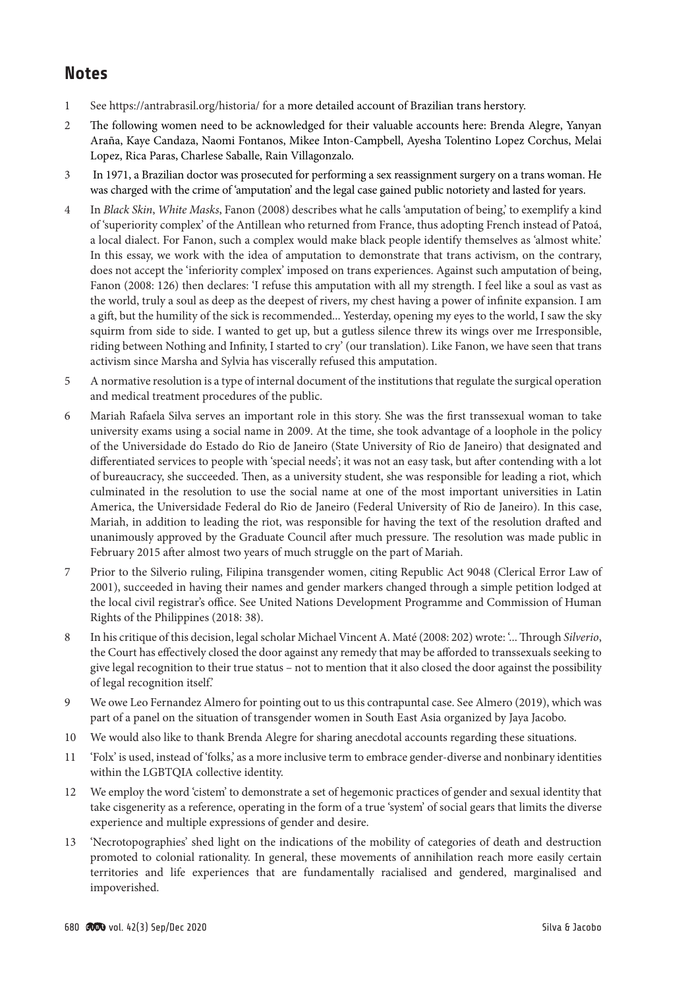# **Notes**

- 1 See<https://antrabrasil.org/historia/> for a more detailed account of Brazilian trans herstory.
- 2 The following women need to be acknowledged for their valuable accounts here: Brenda Alegre, Yanyan Araña, Kaye Candaza, Naomi Fontanos, Mikee Inton-Campbell, Ayesha Tolentino Lopez Corchus, Melai Lopez, Rica Paras, Charlese Saballe, Rain Villagonzalo.
- 3 In 1971, a Brazilian doctor was prosecuted for performing a sex reassignment surgery on a trans woman. He was charged with the crime of 'amputation' and the legal case gained public notoriety and lasted for years.
- 4 In *Black Skin*, *White Masks*, Fanon (2008) describes what he calls 'amputation of being,' to exemplify a kind of 'superiority complex' of the Antillean who returned from France, thus adopting French instead of Patoá, a local dialect. For Fanon, such a complex would make black people identify themselves as 'almost white.' In this essay, we work with the idea of amputation to demonstrate that trans activism, on the contrary, does not accept the 'inferiority complex' imposed on trans experiences. Against such amputation of being, Fanon (2008: 126) then declares: 'I refuse this amputation with all my strength. I feel like a soul as vast as the world, truly a soul as deep as the deepest of rivers, my chest having a power of infinite expansion. I am a gift, but the humility of the sick is recommended... Yesterday, opening my eyes to the world, I saw the sky squirm from side to side. I wanted to get up, but a gutless silence threw its wings over me Irresponsible, riding between Nothing and Infinity, I started to cry' (our translation). Like Fanon, we have seen that trans activism since Marsha and Sylvia has viscerally refused this amputation.
- 5 A normative resolution is a type of internal document of the institutions that regulate the surgical operation and medical treatment procedures of the public.
- 6 Mariah Rafaela Silva serves an important role in this story. She was the first transsexual woman to take university exams using a social name in 2009. At the time, she took advantage of a loophole in the policy of the Universidade do Estado do Rio de Janeiro (State University of Rio de Janeiro) that designated and differentiated services to people with 'special needs'; it was not an easy task, but after contending with a lot of bureaucracy, she succeeded. Then, as a university student, she was responsible for leading a riot, which culminated in the resolution to use the social name at one of the most important universities in Latin America, the Universidade Federal do Rio de Janeiro (Federal University of Rio de Janeiro). In this case, Mariah, in addition to leading the riot, was responsible for having the text of the resolution drafted and unanimously approved by the Graduate Council after much pressure. The resolution was made public in February 2015 after almost two years of much struggle on the part of Mariah.
- 7 Prior to the Silverio ruling, Filipina transgender women, citing Republic Act 9048 (Clerical Error Law of 2001), succeeded in having their names and gender markers changed through a simple petition lodged at the local civil registrar's office. See United Nations Development Programme and Commission of Human Rights of the Philippines (2018: 38).
- 8 In his critique of this decision, legal scholar Michael Vincent A. Maté (2008: 202) wrote: '... Through *Silverio*, the Court has effectively closed the door against any remedy that may be afforded to transsexuals seeking to give legal recognition to their true status – not to mention that it also closed the door against the possibility of legal recognition itself.'
- 9 We owe Leo Fernandez Almero for pointing out to us this contrapuntal case. See Almero (2019), which was part of a panel on the situation of transgender women in South East Asia organized by Jaya Jacobo.
- 10 We would also like to thank Brenda Alegre for sharing anecdotal accounts regarding these situations.
- 11 'Folx' is used, instead of 'folks,' as a more inclusive term to embrace gender-diverse and nonbinary identities within the LGBTQIA collective identity.
- 12 We employ the word 'cistem' to demonstrate a set of hegemonic practices of gender and sexual identity that take cisgenerity as a reference, operating in the form of a true 'system' of social gears that limits the diverse experience and multiple expressions of gender and desire.
- 13 'Necrotopographies' shed light on the indications of the mobility of categories of death and destruction promoted to colonial rationality. In general, these movements of annihilation reach more easily certain territories and life experiences that are fundamentally racialised and gendered, marginalised and impoverished.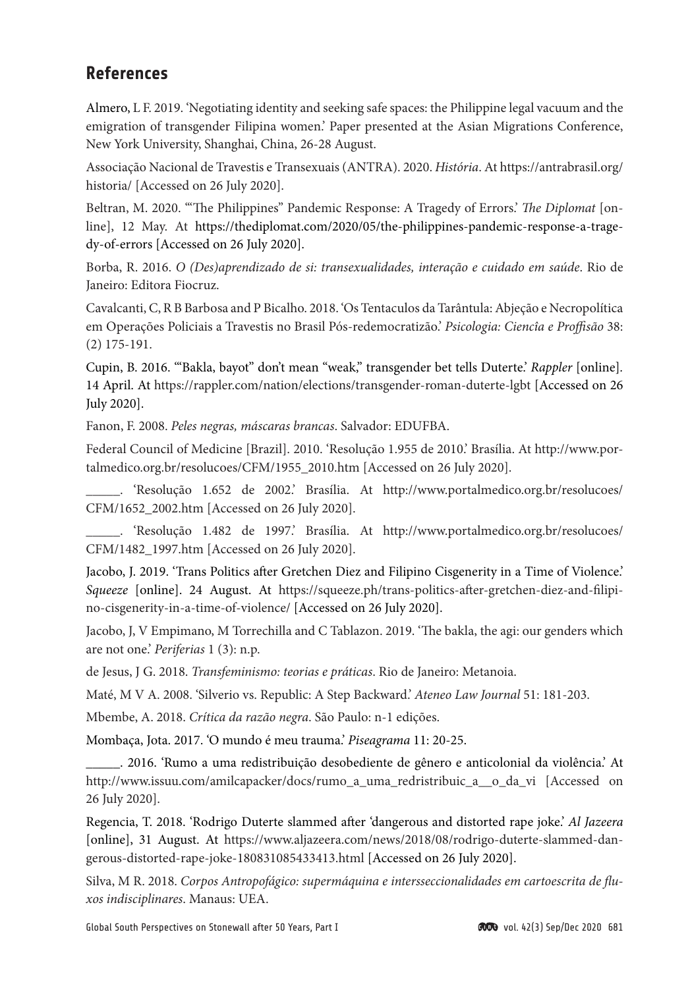# **References**

Almero, L F. 2019. 'Negotiating identity and seeking safe spaces: the Philippine legal vacuum and the emigration of transgender Filipina women.' Paper presented at the Asian Migrations Conference, New York University, Shanghai, China, 26-28 August.

Associação Nacional de Travestis e Transexuais (ANTRA). 2020. *História*. At [https://antrabrasil.org/](https://antrabrasil.org/historia/) [historia/](https://antrabrasil.org/historia/) [Accessed on 26 July 2020].

Beltran, M. 2020. '"The Philippines" Pandemic Response: A Tragedy of Errors.' *The Diplomat* [online], 12 May. At https://thediplomat.com/2020/05/the-philippines-pandemic-response-a-tragedy-of-errors [Accessed on 26 July 2020].

Borba, R. 2016. *O (Des)aprendizado de si: transexualidades, interação e cuidado em saúde*. Rio de Janeiro: Editora Fiocruz.

Cavalcanti, C, R B Barbosa and P Bicalho. 2018. 'Os Tentaculos da Tarântula: Abjeção e Necropolítica em Operações Policiais a Travestis no Brasil Pós-redemocratizão.' *Psicologia: Ciencîa e Proffisão* 38: (2) 175-191.

Cupin, B. 2016. '"Bakla, bayot" don't mean "weak," transgender bet tells Duterte.' *Rappler* [online]*.*  14 April. At <https://rappler.com/nation/elections/transgender-roman-duterte-lgbt> [Accessed on 26 July 2020].

Fanon, F. 2008. *Peles negras, máscaras brancas*. Salvador: EDUFBA.

Federal Council of Medicine [Brazil]. 2010. 'Resolução 1.955 de 2010.' Brasília. At http://www.portalmedico.org.br/resolucoes/CFM/1955\_2010.htm [Accessed on 26 July 2020].

\_\_\_\_\_. 'Resolução 1.652 de 2002.' Brasília. At http://www.portalmedico.org.br/resolucoes/ CFM/1652\_2002.htm [Accessed on 26 July 2020].

\_\_\_\_\_. 'Resolução 1.482 de 1997.' Brasília. At http://www.portalmedico.org.br/resolucoes/ CFM/1482\_1997.htm [Accessed on 26 July 2020].

Jacobo, J. 2019. 'Trans Politics after Gretchen Diez and Filipino Cisgenerity in a Time of Violence.' *Squeeze* [online]. 24 August. At [https://squeeze.ph/trans-politics-after-gretchen-diez-and-filipi](https://squeeze.ph/trans-politics-after-gretchen-diez-and-filipino-cisgenerity-in-a-time-of-violence/)[no-cisgenerity-in-a-time-of-violence/](https://squeeze.ph/trans-politics-after-gretchen-diez-and-filipino-cisgenerity-in-a-time-of-violence/) [Accessed on 26 July 2020].

Jacobo, J, V Empimano, M Torrechilla and C Tablazon. 2019. 'The bakla, the agi: our genders which are not one.' *Periferias* 1 (3): n.p.

de Jesus, J G. 2018. *Transfeminismo: teorias e práticas*. Rio de Janeiro: Metanoia.

Maté, M V A. 2008. 'Silverio vs. Republic: A Step Backward.' *Ateneo Law Journal* 51: 181-203.

Mbembe, A. 2018. *Crítica da razão negra*. São Paulo: n-1 edições.

Mombaça, Jota. 2017. 'O mundo é meu trauma.' *Piseagrama* 11: 20-25.

\_\_\_\_\_. 2016. 'Rumo a uma redistribuição desobediente de gênero e anticolonial da violência.' At [http://www.issuu.com/amilcapacker/docs/rumo\\_a\\_uma\\_redristribuic\\_a\\_\\_o\\_da\\_vi](http://www.issuu.com/amilcapacker/docs/rumo_a_uma_redristribuic_a__o_da_vi) [Accessed on 26 July 2020].

Regencia, T. 2018. 'Rodrigo Duterte slammed after 'dangerous and distorted rape joke.' *Al Jazeera* [online], 31 August. At [https://www.aljazeera.com/news/2018/08/rodrigo-duterte-slammed-dan](https://www.aljazeera.com/news/2018/08/rodrigo-duterte-slammed-dangerous-distorted-rape-joke-180831085433413.html)[gerous-distorted-rape-joke-180831085433413.html](https://www.aljazeera.com/news/2018/08/rodrigo-duterte-slammed-dangerous-distorted-rape-joke-180831085433413.html) [Accessed on 26 July 2020].

Silva, M R. 2018. *Corpos Antropofágico: supermáquina e intersseccionalidades em cartoescrita de fluxos indisciplinares*. Manaus: UEA.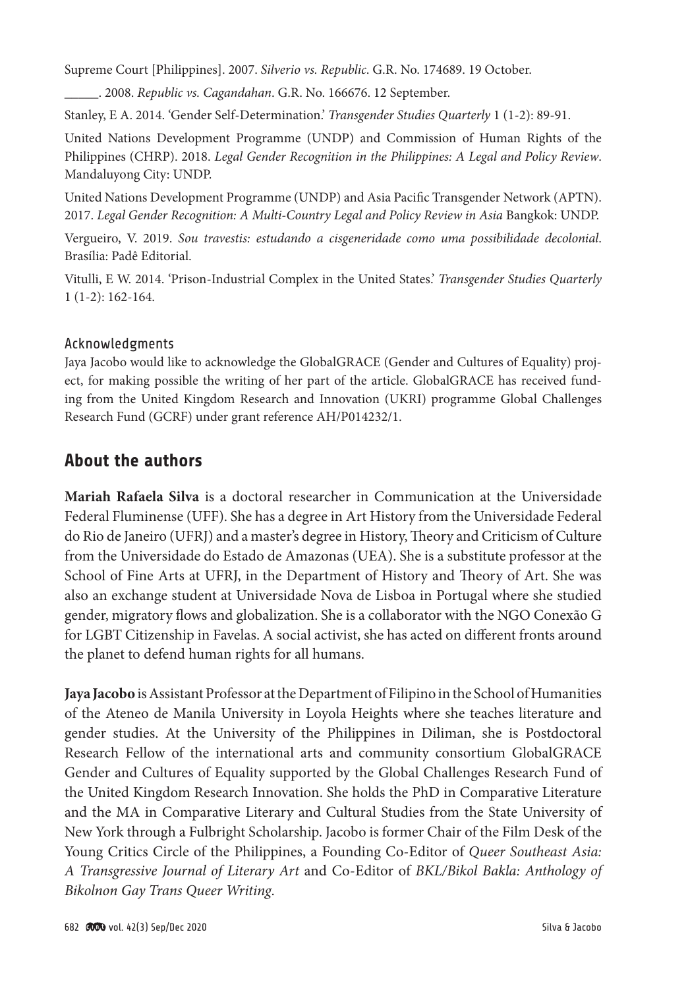Supreme Court [Philippines]. 2007. *Silverio vs. Republic*. G.R. No. 174689. 19 October.

\_\_\_\_\_. 2008. *Republic vs. Cagandahan*. G.R. No. 166676. 12 September.

Stanley, E A. 2014. 'Gender Self-Determination.' *Transgender Studies Quarterly* 1 (1-2): 89-91.

United Nations Development Programme (UNDP) and Commission of Human Rights of the Philippines (CHRP). 2018. *Legal Gender Recognition in the Philippines: A Legal and Policy Review*. Mandaluyong City: UNDP.

United Nations Development Programme (UNDP) and Asia Pacific Transgender Network (APTN). 2017. *Legal Gender Recognition: A Multi-Country Legal and Policy Review in Asia* Bangkok: UNDP.

Vergueiro, V. 2019. *Sou travestis: estudando a cisgeneridade como uma possibilidade decolonial*. Brasília: Padê Editorial.

Vitulli, E W. 2014. 'Prison-Industrial Complex in the United States.' *Transgender Studies Quarterly* 1 (1-2): 162-164.

#### Acknowledgments

Jaya Jacobo would like to acknowledge the GlobalGRACE (Gender and Cultures of Equality) project, for making possible the writing of her part of the article. GlobalGRACE has received funding from the United Kingdom Research and Innovation (UKRI) programme Global Challenges Research Fund (GCRF) under grant reference AH/P014232/1.

## **About the authors**

**Mariah Rafaela Silva** is a doctoral researcher in Communication at the Universidade Federal Fluminense (UFF). She has a degree in Art History from the Universidade Federal do Rio de Janeiro (UFRJ) and a master's degree in History, Theory and Criticism of Culture from the Universidade do Estado de Amazonas (UEA). She is a substitute professor at the School of Fine Arts at UFRJ, in the Department of History and Theory of Art. She was also an exchange student at Universidade Nova de Lisboa in Portugal where she studied gender, migratory flows and globalization. She is a collaborator with the NGO Conexão G for LGBT Citizenship in Favelas. A social activist, she has acted on different fronts around the planet to defend human rights for all humans.

**Jaya Jacobo** is Assistant Professor at the Department of Filipino in the School of Humanities of the Ateneo de Manila University in Loyola Heights where she teaches literature and gender studies. At the University of the Philippines in Diliman, she is Postdoctoral Research Fellow of the international arts and community consortium GlobalGRACE Gender and Cultures of Equality supported by the Global Challenges Research Fund of the United Kingdom Research Innovation. She holds the PhD in Comparative Literature and the MA in Comparative Literary and Cultural Studies from the State University of New York through a Fulbright Scholarship. Jacobo is former Chair of the Film Desk of the Young Critics Circle of the Philippines, a Founding Co-Editor of *Queer Southeast Asia: A Transgressive Journal of Literary Art* and Co-Editor of *BKL/Bikol Bakla: Anthology of Bikolnon Gay Trans Queer Writing*.